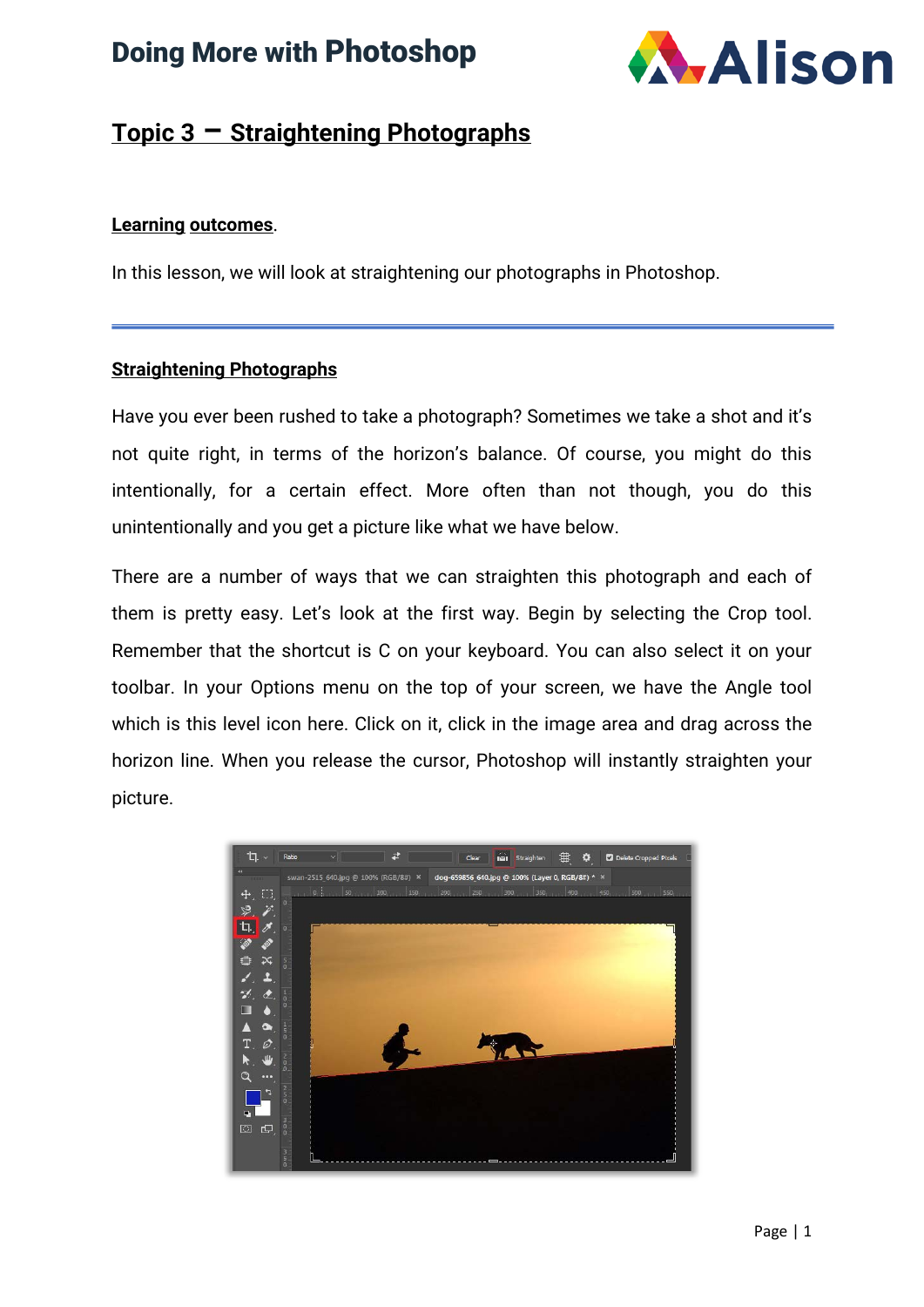# Doing More with Photoshop



### **Topic 3 – Straightening Photographs**

#### **Learning outcomes**.

In this lesson, we will look at straightening our photographs in Photoshop.

#### **Straightening Photographs**

Have you ever been rushed to take a photograph? Sometimes we take a shot and it's not quite right, in terms of the horizon's balance. Of course, you might do this intentionally, for a certain effect. More often than not though, you do this unintentionally and you get a picture like what we have below.

There are a number of ways that we can straighten this photograph and each of them is pretty easy. Let's look at the first way. Begin by selecting the Crop tool. Remember that the shortcut is C on your keyboard. You can also select it on your toolbar. In your Options menu on the top of your screen, we have the Angle tool which is this level icon here. Click on it, click in the image area and drag across the horizon line. When you release the cursor, Photoshop will instantly straighten your picture.

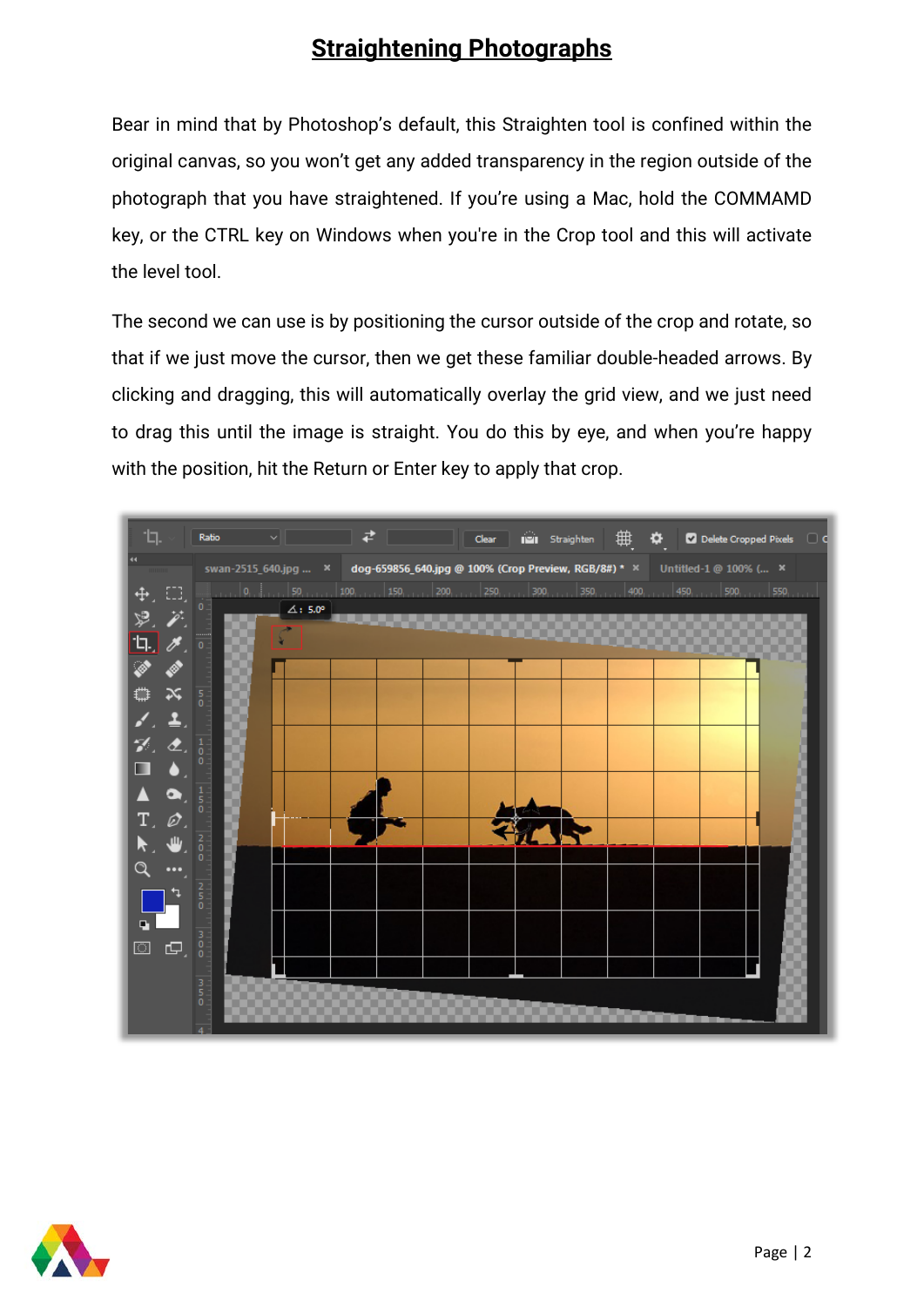## **Straightening Photographs**

Bear in mind that by Photoshop's default, this Straighten tool is confined within the original canvas, so you won't get any added transparency in the region outside of the photograph that you have straightened. If you're using a Mac, hold the COMMAMD key, or the CTRL key on Windows when you're in the Crop tool and this will activate the level tool.

The second we can use is by positioning the cursor outside of the crop and rotate, so that if we just move the cursor, then we get these familiar double-headed arrows. By clicking and dragging, this will automatically overlay the grid view, and we just need to drag this until the image is straight. You do this by eye, and when you're happy with the position, hit the Return or Enter key to apply that crop.



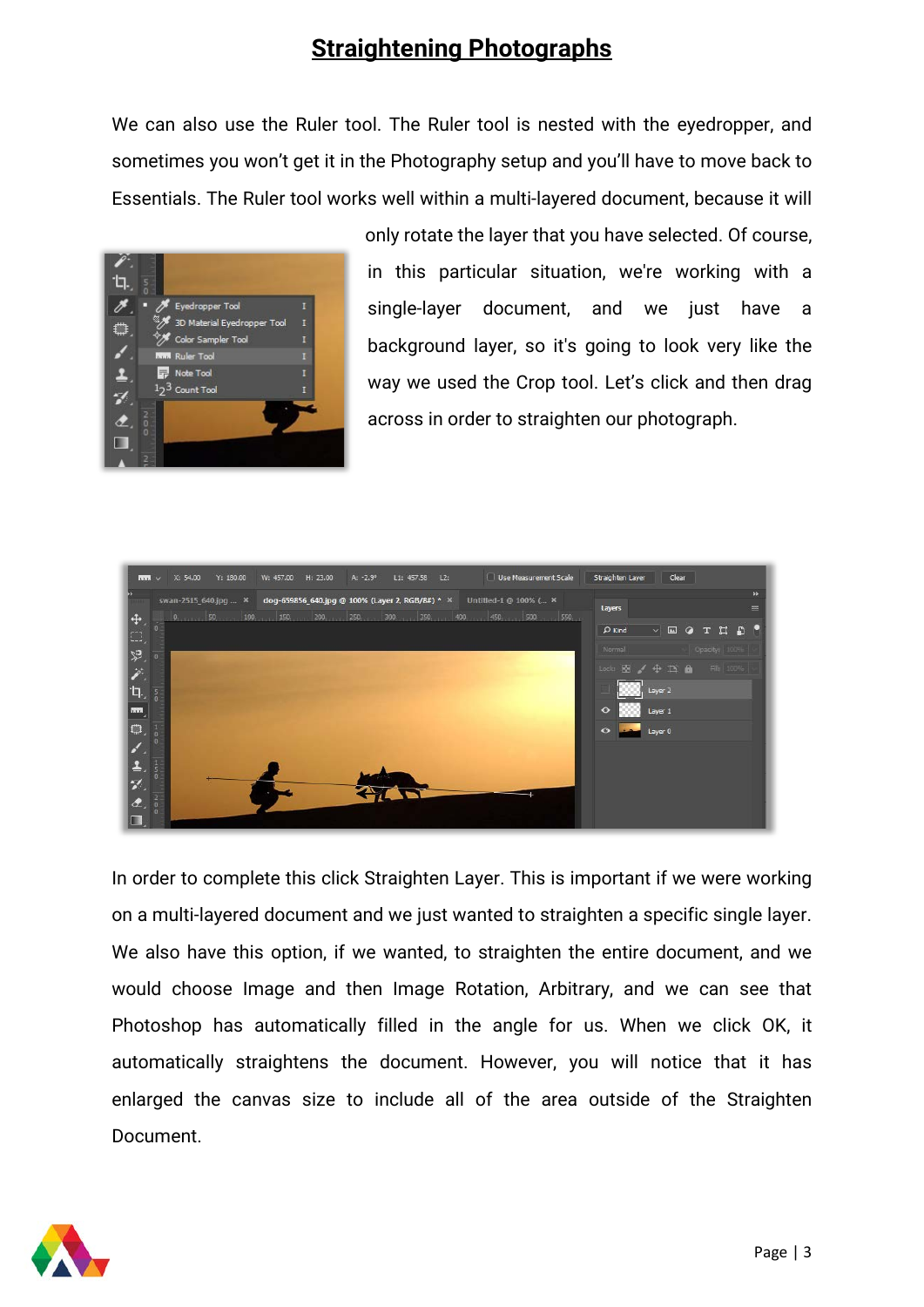### **Straightening Photographs**

We can also use the Ruler tool. The Ruler tool is nested with the eyedropper, and sometimes you won't get it in the Photography setup and you'll have to move back to Essentials. The Ruler tool works well within a multi-layered document, because it will



only rotate the layer that you have selected. Of course, in this particular situation, we're working with a single-layer document, and we just have a background layer, so it's going to look very like the way we used the Crop tool. Let's click and then drag across in order to straighten our photograph.



In order to complete this click Straighten Layer. This is important if we were working on a multi-layered document and we just wanted to straighten a specific single layer. We also have this option, if we wanted, to straighten the entire document, and we would choose Image and then Image Rotation, Arbitrary, and we can see that Photoshop has automatically filled in the angle for us. When we click OK, it automatically straightens the document. However, you will notice that it has enlarged the canvas size to include all of the area outside of the Straighten Document.